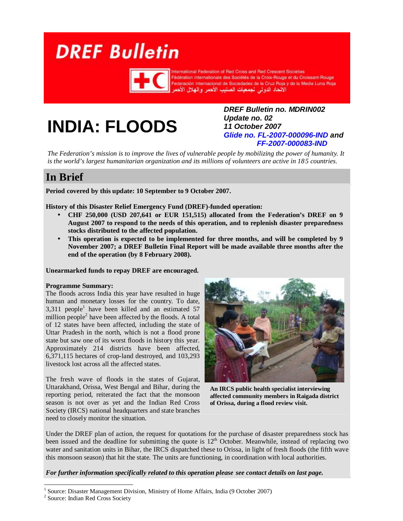# <span id="page-0-0"></span>**DREF Bulletin**



ternational Federation of Red Cross and Red Crescent Societies Fédération internationale des Sociétés de la Croix-Rouge et du Croissant-Rouge Federación Internacional de Sociedades de la Cruz Roja y de la Media Luna Roja الأنحاد الدولى لجمعيات الصليب الأهمر والهلال الأهم

# **INDIA: FLOODS**

*DREF Bulletin no. MDRIN002 Update no. 02 11 October 2007 Glide no. FL-2007-000096-IND and FF-2007-000083-IND*

*The Federation's mission is to improve the lives of vulnerable people by mobilizing the power of humanity. It is the world's largest humanitarian organization and its millions of volunteers are active in 185 countries.* 

## **In Brief**

**Period covered by this update: 10 September to 9 October 2007.**

**History of this Disaster Relief Emergency Fund (DREF)-funded operation:**

- **CHF 250,000 (USD 207,641 or EUR 151,515) allocated from the Federation's DREF on 9 August 2007 to respond to the needs of this operation, and to replenish disaster preparedness stocks distributed to the affected population.**
- **This operation is expected to be implemented for three months, and will be completed by 9 November 2007; a DREF Bulletin Final Report will be made available three months after the end of the operation (by 8 February 2008).**

#### **Unearmarked funds to repay DREF are encouraged.**

#### **Programme Summary:**

The floods across India this year have resulted in huge human and monetary losses for the country. To date,  $3,311$  people<sup>1</sup> have been killed and an estimated 57 million people $2$  have been affected by the floods. A total of 12 states have been affected, including the state of Uttar Pradesh in the north, which is not a flood prone state but saw one of its worst floods in history this year. Approximately 214 districts have been affected, 6,371,115 hectares of crop-land destroyed, and 103,293 livestock lost across all the affected states.

The fresh wave of floods in the states of Gujarat, Uttarakhand, Orissa, West Bengal and Bihar, during the reporting period, reiterated the fact that the monsoon season is not over as yet and the Indian Red Cross Society (IRCS) national headquarters and state branches need to closely monitor the situation.



**An IRCS public health specialist interviewing affected community members in Raigada district of Orissa, during a flood review visit.** 

Under the DREF plan of action, the request for quotations for the purchase of disaster preparedness stock has been issued and the deadline for submitting the quote is 12<sup>th</sup> October. Meanwhile, instead of replacing two water and sanitation units in Bihar, the IRCS dispatched these to Orissa, in light of fresh floods (the fifth wave this monsoon season) that hit the state. The units are functioning, in coordination with local authorities.

#### *For further information specifically related to [this operation please see contact details](#page-3-0) on last page.*

<sup>1</sup> Source: Disaster Management Division, Ministry of Home Affairs, India (9 October 2007)

<sup>&</sup>lt;sup>2</sup> Source: Indian Red Cross Society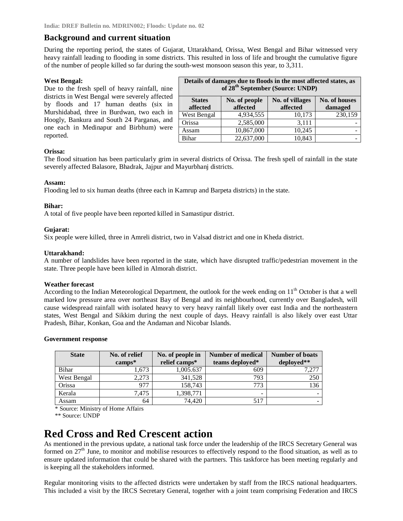#### **Background and current situation**

During the reporting period, the states of Gujarat, Uttarakhand, Orissa, West Bengal and Bihar witnessed very heavy rainfall leading to flooding in some districts. This resulted in loss of life and brought the cumulative figure of the number of people killed so far during the south-west monsoon season this year, to 3,311.

#### **West Bengal:**

Due to the fresh spell of heavy rainfall, nine districts in West Bengal were severely affected by floods and 17 human deaths (six in Murshidabad, three in Burdwan, two each in Hoogly, Bankura and South 24 Parganas, and one each in Medinapur and Birbhum) were reported.

| Details of damages due to hoods in the most affected states, as<br>of 28 <sup>th</sup> September (Source: UNDP) |                           |                             |                                 |  |  |  |
|-----------------------------------------------------------------------------------------------------------------|---------------------------|-----------------------------|---------------------------------|--|--|--|
| <b>States</b><br>affected                                                                                       | No. of people<br>affected | No. of villages<br>affected | <b>No. of houses</b><br>damaged |  |  |  |
| West Bengal                                                                                                     | 4,934,555                 | 10,173                      | 230,159                         |  |  |  |
| Orissa                                                                                                          | 2,585,000                 | 3.111                       |                                 |  |  |  |
| Assam                                                                                                           | 10,867,000                | 10.245                      |                                 |  |  |  |
| <b>Bihar</b>                                                                                                    | 22,637,000                | 10,843                      |                                 |  |  |  |

**Details of damages due to floods in the most affected states, as** 

#### **Orissa:**

The flood situation has been particularly grim in several districts of Orissa. The fresh spell of rainfall in the state severely affected Balasore, Bhadrak, Jajpur and Mayurbhanj districts.

#### **Assam:**

Flooding led to six human deaths (three each in Kamrup and Barpeta districts) in the state.

#### **Bihar:**

A total of five people have been reported killed in Samastipur district.

#### **Gujarat:**

Six people were killed, three in Amreli district, two in Valsad district and one in Kheda district.

#### **Uttarakhand:**

A number of landslides have been reported in the state, which have disrupted traffic/pedestrian movement in the state. Three people have been killed in Almorah district.

#### **Weather forecast**

According to the Indian Meteorological Department, the outlook for the week ending on  $11<sup>th</sup>$  October is that a well marked low pressure area over northeast Bay of Bengal and its neighbourhood, currently over Bangladesh, will cause widespread rainfall with isolated heavy to very heavy rainfall likely over east India and the northeastern states, West Bengal and Sikkim during the next couple of days. Heavy rainfall is also likely over east Uttar Pradesh, Bihar, Konkan, Goa and the Andaman and Nicobar Islands.

#### **Government response**

| <b>State</b> | No. of relief | No. of people in | Number of medical | <b>Number of boats</b> |
|--------------|---------------|------------------|-------------------|------------------------|
|              | $camps*$      | relief camps*    | teams deployed*   | deployed**             |
| Bihar        | 1.673         | 1,005.637        | 609               | 7.277                  |
| West Bengal  | 2.273         | 341,528          | 793               | 250                    |
| Orissa       | 977           | 158,743          | 773               | 136                    |
| Kerala       | 7,475         | 1,398,771        | -                 |                        |
| Assam        | 64            | 74.420           | 517               |                        |

\* Source: Ministry of Home Affairs

\*\* Source: UNDP

## **Red Cross and Red Crescent action**

As mentioned in the previous update, a national task force under the leadership of the IRCS Secretary General was formed on  $27<sup>th</sup>$  June, to monitor and mobilise resources to effectively respond to the flood situation, as well as to ensure updated information that could be shared with the partners. This taskforce has been meeting regularly and is keeping all the stakeholders informed.

Regular monitoring visits to the affected districts were undertaken by staff from the IRCS national headquarters. This included a visit by the IRCS Secretary General, together with a joint team comprising Federation and IRCS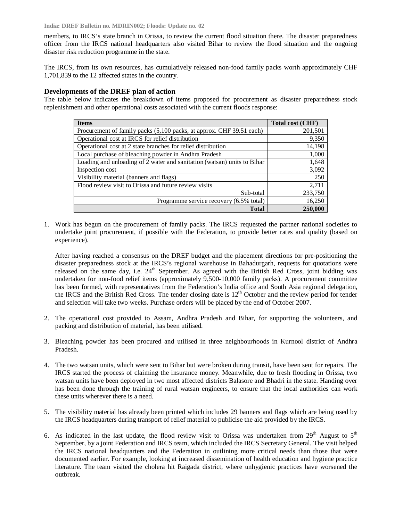**India: DREF Bulletin no. MDRIN002; Floods: Update no. 02**

members, to IRCS's state branch in Orissa, to review the current flood situation there. The disaster preparedness officer from the IRCS national headquarters also visited Bihar to review the flood situation and the ongoing disaster risk reduction programme in the state.

The IRCS, from its own resources, has cumulatively released non-food family packs worth approximately CHF 1,701,839 to the 12 affected states in the country.

#### **Developments of the DREF plan of action**

The table below indicates the breakdown of items proposed for procurement as disaster preparedness stock replenishment and other operational costs associated with the current floods response:

| <b>Items</b>                                                            | Total cost (CHF) |
|-------------------------------------------------------------------------|------------------|
| Procurement of family packs (5,100 packs, at approx. CHF 39.51 each)    | 201,501          |
| Operational cost at IRCS for relief distribution                        | 9,350            |
| Operational cost at 2 state branches for relief distribution            | 14,198           |
| Local purchase of bleaching powder in Andhra Pradesh                    | 1,000            |
| Loading and unloading of 2 water and sanitation (watsan) units to Bihar | 1,648            |
| Inspection cost                                                         | 3,092            |
| Visibility material (banners and flags)                                 | 250              |
| Flood review visit to Orissa and future review visits                   | 2,711            |
| Sub-total                                                               | 233,750          |
| Programme service recovery (6.5% total)                                 | 16,250           |
| <b>Total</b>                                                            | 250,000          |

1. Work has begun on the procurement of family packs. The IRCS requested the partner national societies to undertake joint procurement, if possible with the Federation, to provide better rates and quality (based on experience).

After having reached a consensus on the DREF budget and the placement directions for pre-positioning the disaster preparedness stock at the IRCS's regional warehouse in Bahadurgarh, requests for quotations were released on the same day, i.e. 24<sup>th</sup> September. As agreed with the British Red Cross, joint bidding was undertaken for non-food relief items (approximately 9,500-10,000 family packs). A procurement committee has been formed, with representatives from the Federation's India office and South Asia regional delegation, the IRCS and the British Red Cross. The tender closing date is 12<sup>th</sup> October and the review period for tender and selection will take two weeks. Purchase orders will be placed by the end of October 2007.

- 2. The operational cost provided to Assam, Andhra Pradesh and Bihar, for supporting the volunteers, and packing and distribution of material, has been utilised.
- 3. Bleaching powder has been procured and utilised in three neighbourhoods in Kurnool district of Andhra Pradesh.
- 4. The two watsan units, which were sent to Bihar but were broken during transit, have been sent for repairs. The IRCS started the process of claiming the insurance money. Meanwhile, due to fresh flooding in Orissa, two watsan units have been deployed in two most affected districts Balasore and Bhadri in the state. Handing over has been done through the training of rural watsan engineers, to ensure that the local authorities can work these units wherever there is a need.
- 5. The visibility material has already been printed which includes 29 banners and flags which are being used by the IRCS headquarters during transport of relief material to publicise the aid provided by the IRCS.
- 6. As indicated in the last update, the flood review visit to Orissa was undertaken from  $29<sup>th</sup>$  August to  $5<sup>th</sup>$ September, by a joint Federation and IRCS team, which included the IRCS Secretary General. The visit helped the IRCS national headquarters and the Federation in outlining more critical needs than those that were documented earlier. For example, looking at increased dissemination of health education and hygiene practice literature. The team visited the cholera hit Raigada district, where unhygienic practices have worsened the outbreak.